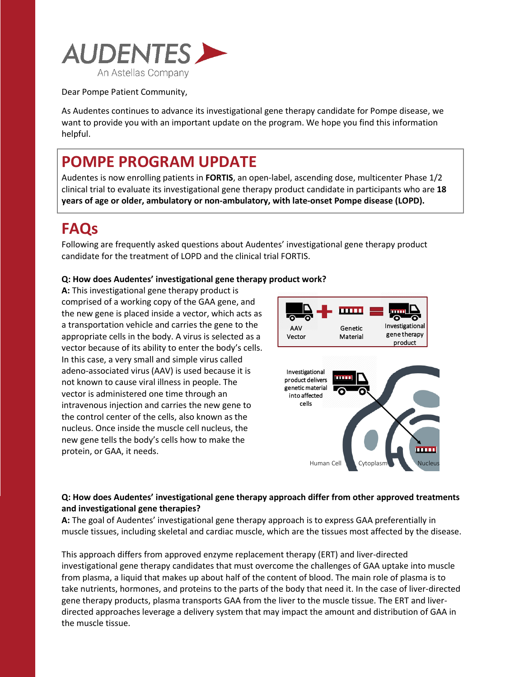

Dear Pompe Patient Community,

As Audentes continues to advance its investigational gene therapy candidate for Pompe disease, we want to provide you with an important update on the program. We hope you find this information helpful.

# **POMPE PROGRAM UPDATE**

Audentes is now enrolling patients in **FORTIS**, an open-label, ascending dose, multicenter Phase 1/2 clinical trial to evaluate its investigational gene therapy product candidate in participants who are **18 years of age or older, ambulatory or non-ambulatory, with late-onset Pompe disease (LOPD).**

# **FAQs**

Following are frequently asked questions about Audentes' investigational gene therapy product candidate for the treatment of LOPD and the clinical trial FORTIS.

## **Q: How does Audentes' investigational gene therapy product work?**

**A:** This investigational gene therapy product is comprised of a working copy of the GAA gene, and the new gene is placed inside a vector, which acts as a transportation vehicle and carries the gene to the appropriate cells in the body. A virus is selected as a vector because of its ability to enter the body's cells. In this case, a very small and simple virus called adeno-associated virus (AAV) is used because it is not known to cause viral illness in people. The vector is administered one time through an intravenous injection and carries the new gene to the control center of the cells, also known as the nucleus. Once inside the muscle cell nucleus, the new gene tells the body's cells how to make the protein, or GAA, it needs.



### **Q: How does Audentes' investigational gene therapy approach differ from other approved treatments and investigational gene therapies?**

**A:** The goal of Audentes' investigational gene therapy approach is to express GAA preferentially in muscle tissues, including skeletal and cardiac muscle, which are the tissues most affected by the disease.

This approach differs from approved enzyme replacement therapy (ERT) and liver-directed investigational gene therapy candidates that must overcome the challenges of GAA uptake into muscle from plasma, a liquid that makes up about half of the content of blood. The main role of plasma is to take nutrients, hormones, and proteins to the parts of the body that need it. In the case of liver-directed gene therapy products, plasma transports GAA from the liver to the muscle tissue. The ERT and liverdirected approaches leverage a delivery system that may impact the amount and distribution of GAA in the muscle tissue.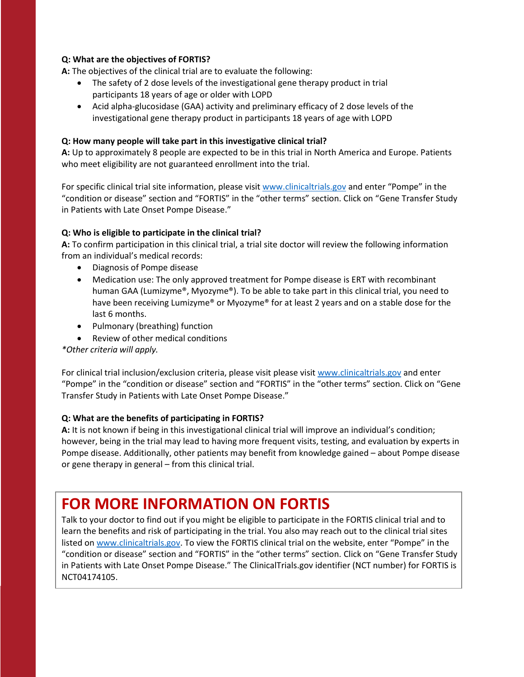### **Q: What are the objectives of FORTIS?**

**A:** The objectives of the clinical trial are to evaluate the following:

- The safety of 2 dose levels of the investigational gene therapy product in trial participants 18 years of age or older with LOPD
- Acid alpha-glucosidase (GAA) activity and preliminary efficacy of 2 dose levels of the investigational gene therapy product in participants 18 years of age with LOPD

#### **Q: How many people will take part in this investigative clinical trial?**

**A:** Up to approximately 8 people are expected to be in this trial in North America and Europe. Patients who meet eligibility are not guaranteed enrollment into the trial.

For specific clinical trial site information, please visit [www.clinicaltrials.gov](http://www.clinicaltrials.gov/) and enter "Pompe" in the "condition or disease" section and "FORTIS" in the "other terms" section. Click on "Gene Transfer Study in Patients with Late Onset Pompe Disease."

#### **Q: Who is eligible to participate in the clinical trial?**

**A:** To confirm participation in this clinical trial, a trial site doctor will review the following information from an individual's medical records:

- Diagnosis of Pompe disease
- Medication use: The only approved treatment for Pompe disease is ERT with recombinant human GAA (Lumizyme®, Myozyme®). To be able to take part in this clinical trial, you need to have been receiving Lumizyme® or Myozyme® for at least 2 years and on a stable dose for the last 6 months.
- Pulmonary (breathing) function
- Review of other medical conditions

*\*Other criteria will apply.*

For clinical trial inclusion/exclusion criteria, please visit please visit [www.clinicaltrials.gov](http://www.clinicaltrials.gov/) and enter "Pompe" in the "condition or disease" section and "FORTIS" in the "other terms" section. Click on "Gene Transfer Study in Patients with Late Onset Pompe Disease."

#### **Q: What are the benefits of participating in FORTIS?**

**A:** It is not known if being in this investigational clinical trial will improve an individual's condition; however, being in the trial may lead to having more frequent visits, testing, and evaluation by experts in Pompe disease. Additionally, other patients may benefit from knowledge gained – about Pompe disease or gene therapy in general – from this clinical trial.

# **FOR MORE INFORMATION ON FORTIS**

Talk to your doctor to find out if you might be eligible to participate in the FORTIS clinical trial and to learn the benefits and risk of participating in the trial. You also may reach out to the clinical trial sites listed on [www.clinicaltrials.gov.](http://www.clinicaltrials.gov/) To view the FORTIS clinical trial on the website, enter "Pompe" in the "condition or disease" section and "FORTIS" in the "other terms" section. Click on "Gene Transfer Study in Patients with Late Onset Pompe Disease." The ClinicalTrials.gov identifier (NCT number) for FORTIS is NCT04174105.